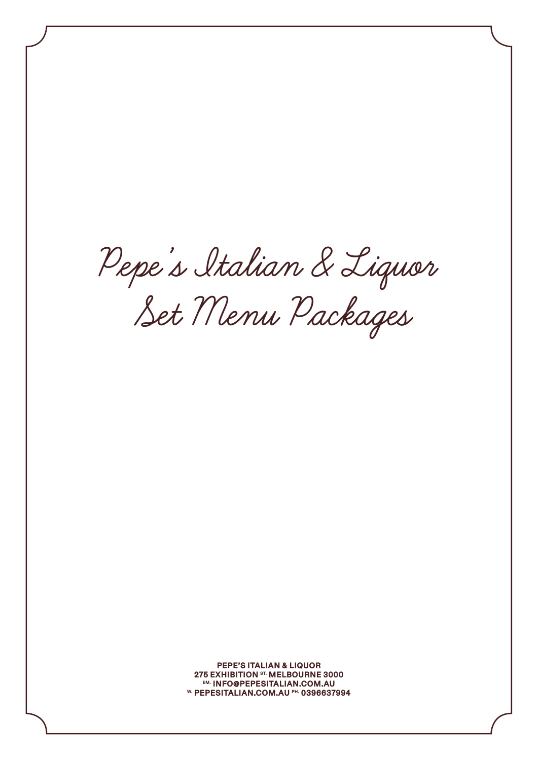**Pepe's Italian & Liquor Set Menu Packages**

PEPE'S ITALIAN & LIQUOR 275 EXHIBITION ST. MELBOURNE 3000<br>EM. INFO@PEPESITALIAN.COM.AU W. PEPESITALIAN.COM.AU PH. 0396637994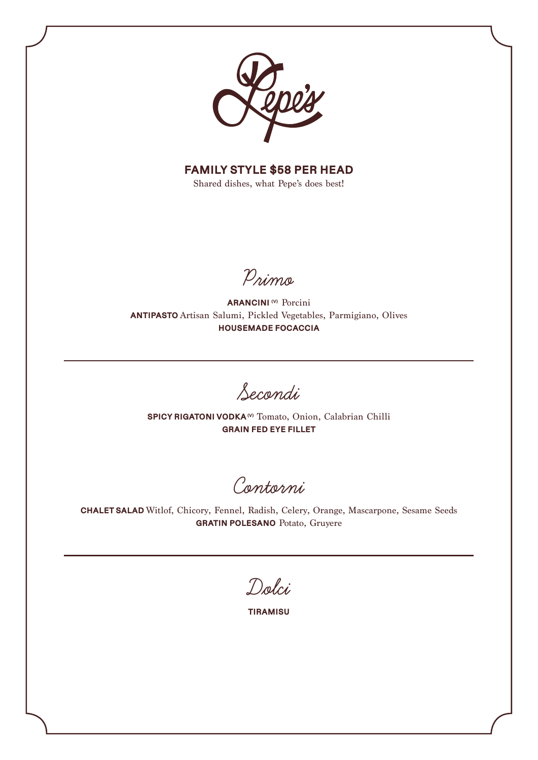

FAMILY STYLE \$58 PER HEAD

Shared dishes, what Pepe's does best!

**Primo**

ARANCINI<sup>(v)</sup> Porcini ANTIPASTO Artisan Salumi, Pickled Vegetables, Parmigiano, Olives HOUSEMADE FOCACCIA

**Secondi**

SPICY RIGATONI VODKA<sup>(V)</sup> Tomato, Onion, Calabrian Chilli GRAIN FED EYE FILLET

**Contorni** 

CHALET SALAD Witlof, Chicory, Fennel, Radish, Celery, Orange, Mascarpone, Sesame Seeds GRATIN POLESANO Potato, Gruyere

**Dolci**

TIRAMISU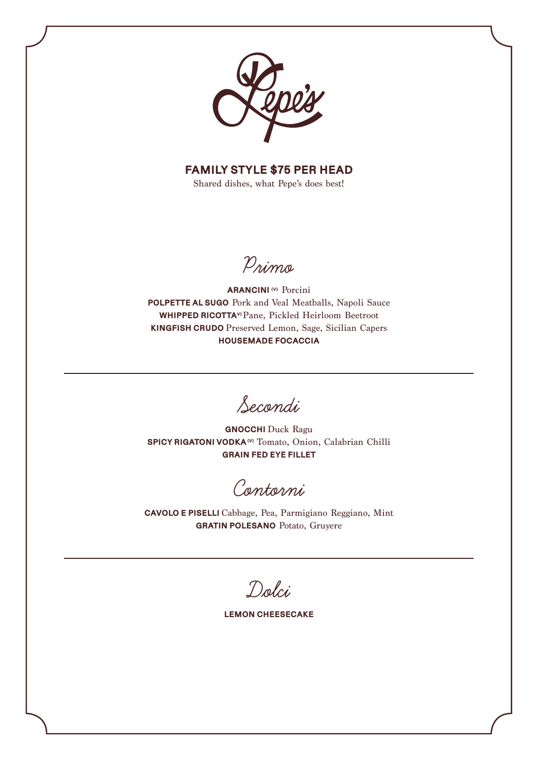

**FAMILY STYLE \$75 PER HEAD** 

Shared dishes, what Pepe's does best!

Primo

**ARANCINI**<sup>(v)</sup> Porcini POLPETTE AL SUGO Pork and Veal Meatballs, Napoli Sauce WHIPPED RICOTTA<sup>v</sup> Pane, Pickled Heirloom Beetroot KINGFISH CRUDO Preserved Lemon, Sage, Sicilian Capers **HOUSEMADE FOCACCIA** 

Secondi

**GNOCCHI** Duck Ragu SPICY RIGATONI VODKA<sup>(v)</sup> Tomato, Onion, Calabrian Chilli **GRAIN FED EYE FILLET** 

Contorni

CAVOLO E PISELLI Cabbage, Pea, Parmigiano Reggiano, Mint **GRATIN POLESANO** Potato, Gruyere

Dolci

**LEMON CHEESECAKE**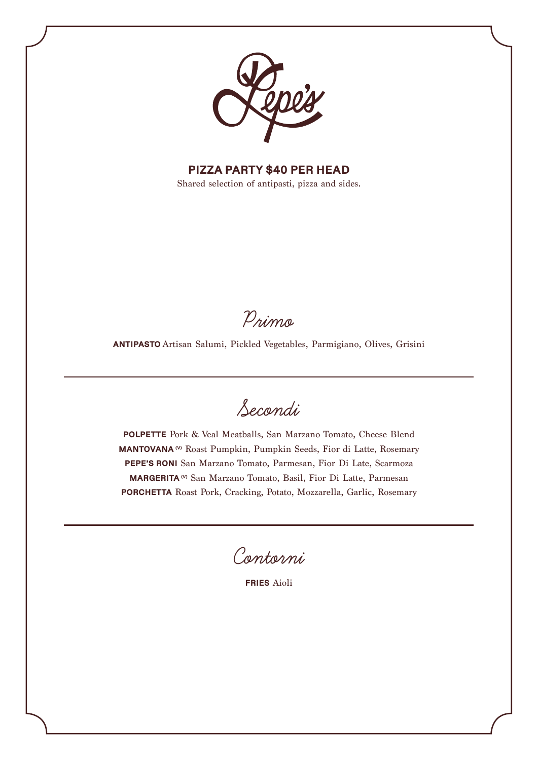

PIZZA PARTY \$40 PER HEAD

Shared selection of antipasti, pizza and sides.

**Primo**

ANTIPASTO Artisan Salumi, Pickled Vegetables, Parmigiano, Olives, Grisini

**Secondi**

POLPETTE Pork & Veal Meatballs, San Marzano Tomato, Cheese Blend MANTOVANA<sup>(v)</sup> Roast Pumpkin, Pumpkin Seeds, Fior di Latte, Rosemary PEPE'S RONI San Marzano Tomato, Parmesan, Fior Di Late, Scarmoza MARGERITA (V) San Marzano Tomato, Basil, Fior Di Latte, Parmesan PORCHETTA Roast Pork, Cracking, Potato, Mozzarella, Garlic, Rosemary

**Contorni**

FRIES Aioli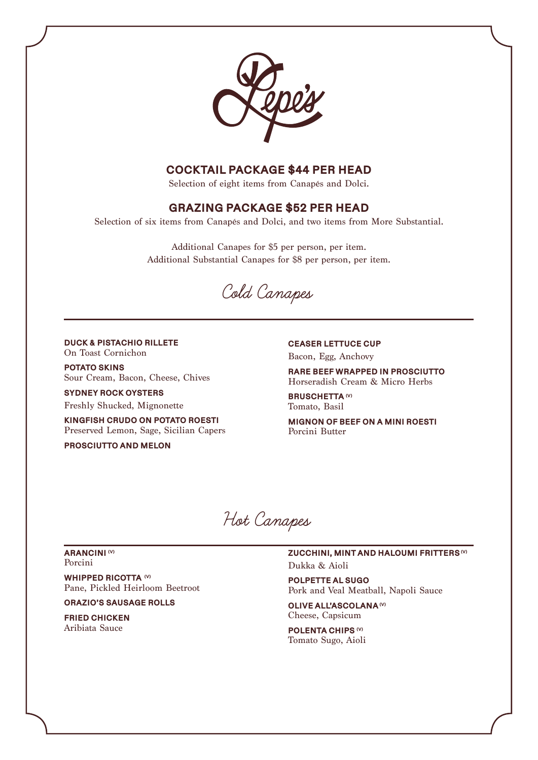

# COCKTAIL PACKAGE \$44 PER HEAD

Selection of eight items from Canapés and Dolci.

## GRAZING PACKAGE \$52 PER HEAD

Selection of six items from Canapés and Dolci, and two items from More Substantial.

Additional Canapes for \$5 per person, per item. Additional Substantial Canapes for \$8 per person, per item.

**Cold Canapes**

## DUCK & PISTACHIO RILLETE On Toast Cornichon

POTATO SKINS Sour Cream, Bacon, Cheese, Chives

SYDNEY ROCK OYSTERS Freshly Shucked, Mignonette

KINGFISH CRUDO ON POTATO ROESTI Preserved Lemon, Sage, Sicilian Capers

PROSCIUTTO AND MELON

CEASER LETTUCE CUP Bacon, Egg, Anchovy

RARE BEEF WRAPPED IN PROSCIUTTO Horseradish Cream & Micro Herbs

BRUSCHETTA<sup>(V)</sup> Tomato, Basil

MIGNON OF BEEF ON A MINI ROESTI Porcini Butter

**Hot Canapes**

#### ARANCINI<sup>(V)</sup> Porcini

WHIPPED RICOTTA (V) Pane, Pickled Heirloom Beetroot

ORAZIO'S SAUSAGE ROLLS

FRIED CHICKEN Aribiata Sauce

ZUCCHINI, MINT AND HALOUMI FRITTERS (V) Dukka & Aioli

POLPETTE AL SUGO Pork and Veal Meatball, Napoli Sauce

OLIVE ALL'ASCOLANA<sup>(V)</sup> Cheese, Capsicum

POLENTA CHIPS (V) Tomato Sugo, Aioli